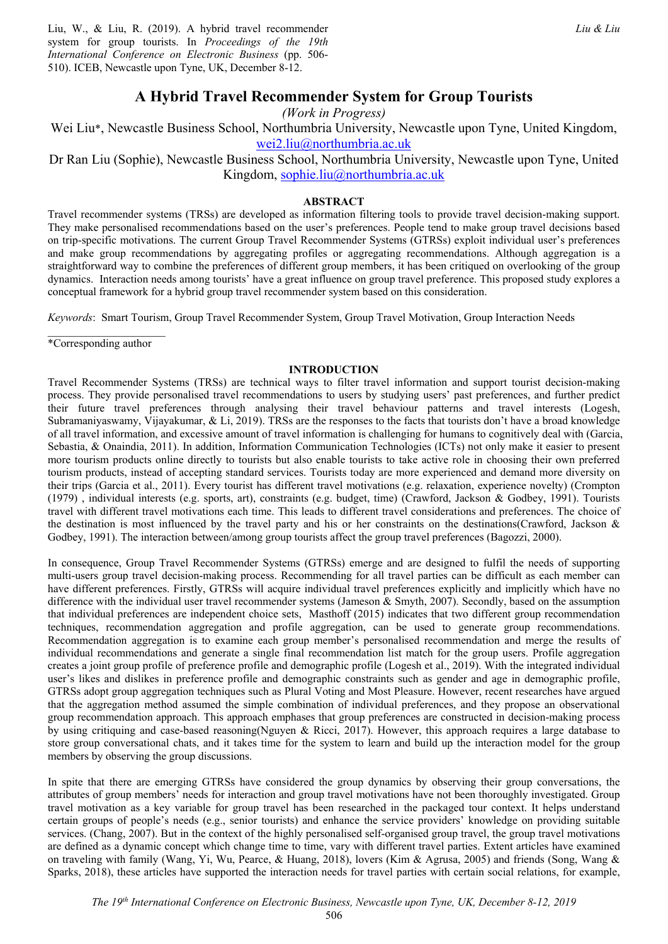Liu, W., & Liu, R. (2019). A hybrid travel recommender system for group tourists. In *Proceedings of the 19th International Conference on Electronic Business* (pp. 506- 510). ICEB, Newcastle upon Tyne, UK, December 8-12.

# **A Hybrid Travel Recommender System for Group Tourists**

*(Work in Progress)* 

Wei Liu\*, Newcastle Business School, Northumbria University, Newcastle upon Tyne, United Kingdom, wei2.liu@northumbria.ac.uk

Dr Ran Liu (Sophie), Newcastle Business School, Northumbria University, Newcastle upon Tyne, United Kingdom, sophie.liu@northumbria.ac.uk

# **ABSTRACT**

Travel recommender systems (TRSs) are developed as information filtering tools to provide travel decision-making support. They make personalised recommendations based on the user's preferences. People tend to make group travel decisions based on trip-specific motivations. The current Group Travel Recommender Systems (GTRSs) exploit individual user's preferences and make group recommendations by aggregating profiles or aggregating recommendations. Although aggregation is a straightforward way to combine the preferences of different group members, it has been critiqued on overlooking of the group dynamics. Interaction needs among tourists' have a great influence on group travel preference. This proposed study explores a conceptual framework for a hybrid group travel recommender system based on this consideration.

*Keywords*: Smart Tourism, Group Travel Recommender System, Group Travel Motivation, Group Interaction Needs

\*Corresponding author

# **INTRODUCTION**

Travel Recommender Systems (TRSs) are technical ways to filter travel information and support tourist decision-making process. They provide personalised travel recommendations to users by studying users' past preferences, and further predict their future travel preferences through analysing their travel behaviour patterns and travel interests (Logesh, Subramaniyaswamy, Vijayakumar, & Li, 2019). TRSs are the responses to the facts that tourists don't have a broad knowledge of all travel information, and excessive amount of travel information is challenging for humans to cognitively deal with (Garcia, Sebastia, & Onaindia, 2011). In addition, Information Communication Technologies (ICTs) not only make it easier to present more tourism products online directly to tourists but also enable tourists to take active role in choosing their own preferred tourism products, instead of accepting standard services. Tourists today are more experienced and demand more diversity on their trips (Garcia et al., 2011). Every tourist has different travel motivations (e.g. relaxation, experience novelty) (Crompton (1979) , individual interests (e.g. sports, art), constraints (e.g. budget, time) (Crawford, Jackson & Godbey, 1991). Tourists travel with different travel motivations each time. This leads to different travel considerations and preferences. The choice of the destination is most influenced by the travel party and his or her constraints on the destinations(Crawford, Jackson & Godbey, 1991). The interaction between/among group tourists affect the group travel preferences (Bagozzi, 2000).

In consequence, Group Travel Recommender Systems (GTRSs) emerge and are designed to fulfil the needs of supporting multi-users group travel decision-making process. Recommending for all travel parties can be difficult as each member can have different preferences. Firstly, GTRSs will acquire individual travel preferences explicitly and implicitly which have no difference with the individual user travel recommender systems (Jameson & Smyth, 2007). Secondly, based on the assumption that individual preferences are independent choice sets, Masthoff (2015) indicates that two different group recommendation techniques, recommendation aggregation and profile aggregation, can be used to generate group recommendations. Recommendation aggregation is to examine each group member's personalised recommendation and merge the results of individual recommendations and generate a single final recommendation list match for the group users. Profile aggregation creates a joint group profile of preference profile and demographic profile (Logesh et al., 2019). With the integrated individual user's likes and dislikes in preference profile and demographic constraints such as gender and age in demographic profile, GTRSs adopt group aggregation techniques such as Plural Voting and Most Pleasure. However, recent researches have argued that the aggregation method assumed the simple combination of individual preferences, and they propose an observational group recommendation approach. This approach emphases that group preferences are constructed in decision-making process by using critiquing and case-based reasoning(Nguyen & Ricci, 2017). However, this approach requires a large database to store group conversational chats, and it takes time for the system to learn and build up the interaction model for the group members by observing the group discussions.

In spite that there are emerging GTRSs have considered the group dynamics by observing their group conversations, the attributes of group members' needs for interaction and group travel motivations have not been thoroughly investigated. Group travel motivation as a key variable for group travel has been researched in the packaged tour context. It helps understand certain groups of people's needs (e.g., senior tourists) and enhance the service providers' knowledge on providing suitable services. (Chang, 2007). But in the context of the highly personalised self-organised group travel, the group travel motivations are defined as a dynamic concept which change time to time, vary with different travel parties. Extent articles have examined on traveling with family (Wang, Yi, Wu, Pearce, & Huang, 2018), lovers (Kim & Agrusa, 2005) and friends (Song, Wang & Sparks, 2018), these articles have supported the interaction needs for travel parties with certain social relations, for example,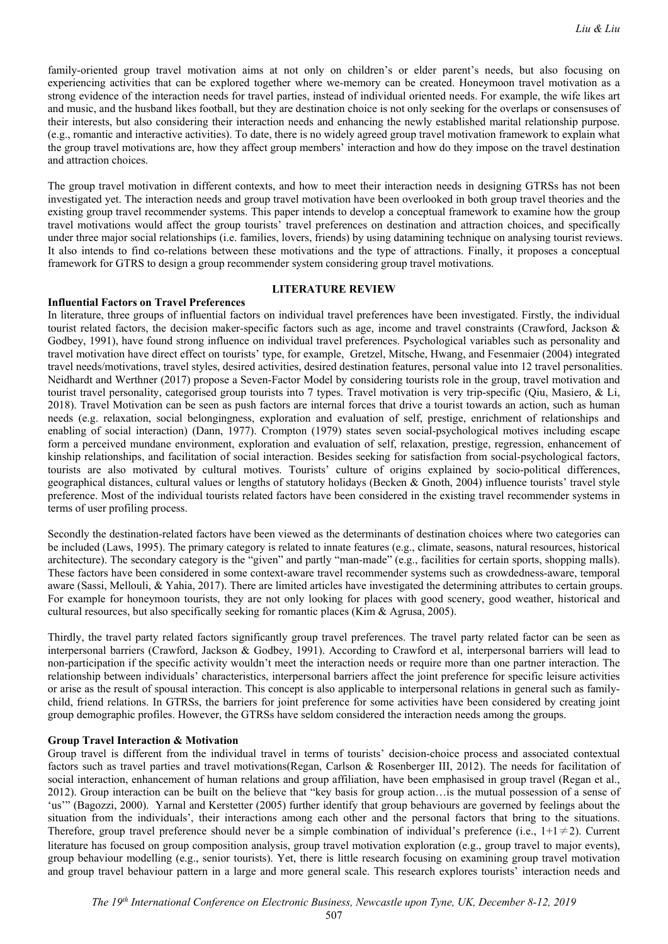family-oriented group travel motivation aims at not only on children's or elder parent's needs, but also focusing on experiencing activities that can be explored together where we-memory can be created. Honeymoon travel motivation as a strong evidence of the interaction needs for travel parties, instead of individual oriented needs. For example, the wife likes art and music, and the husband likes football, but they are destination choice is not only seeking for the overlaps or consensuses of their interests, but also considering their interaction needs and enhancing the newly established marital relationship purpose. (e.g., romantic and interactive activities). To date, there is no widely agreed group travel motivation framework to explain what the group travel motivations are, how they affect group members' interaction and how do they impose on the travel destination and attraction choices.

The group travel motivation in different contexts, and how to meet their interaction needs in designing GTRSs has not been investigated yet. The interaction needs and group travel motivation have been overlooked in both group travel theories and the existing group travel recommender systems. This paper intends to develop a conceptual framework to examine how the group travel motivations would affect the group tourists' travel preferences on destination and attraction choices, and specifically under three major social relationships (i.e. families, lovers, friends) by using datamining technique on analysing tourist reviews. It also intends to find co-relations between these motivations and the type of attractions. Finally, it proposes a conceptual framework for GTRS to design a group recommender system considering group travel motivations.

## **LITERATURE REVIEW**

# **Influential Factors on Travel Preferences**

In literature, three groups of influential factors on individual travel preferences have been investigated. Firstly, the individual tourist related factors, the decision maker-specific factors such as age, income and travel constraints (Crawford, Jackson & Godbey, 1991), have found strong influence on individual travel preferences. Psychological variables such as personality and travel motivation have direct effect on tourists' type, for example, Gretzel, Mitsche, Hwang, and Fesenmaier (2004) integrated travel needs/motivations, travel styles, desired activities, desired destination features, personal value into 12 travel personalities. Neidhardt and Werthner (2017) propose a Seven-Factor Model by considering tourists role in the group, travel motivation and tourist travel personality, categorised group tourists into 7 types. Travel motivation is very trip-specific (Qiu, Masiero, & Li, 2018). Travel Motivation can be seen as push factors are internal forces that drive a tourist towards an action, such as human needs (e.g. relaxation, social belongingness, exploration and evaluation of self, prestige, enrichment of relationships and enabling of social interaction) (Dann, 1977). Crompton (1979) states seven social-psychological motives including escape form a perceived mundane environment, exploration and evaluation of self, relaxation, prestige, regression, enhancement of kinship relationships, and facilitation of social interaction. Besides seeking for satisfaction from social-psychological factors, tourists are also motivated by cultural motives. Tourists' culture of origins explained by socio-political differences, geographical distances, cultural values or lengths of statutory holidays (Becken & Gnoth, 2004) influence tourists' travel style preference. Most of the individual tourists related factors have been considered in the existing travel recommender systems in terms of user profiling process.

Secondly the destination-related factors have been viewed as the determinants of destination choices where two categories can be included (Laws, 1995). The primary category is related to innate features (e.g., climate, seasons, natural resources, historical architecture). The secondary category is the "given" and partly "man-made" (e.g., facilities for certain sports, shopping malls). These factors have been considered in some context-aware travel recommender systems such as crowdedness-aware, temporal aware (Sassi, Mellouli, & Yahia, 2017). There are limited articles have investigated the determining attributes to certain groups. For example for honeymoon tourists, they are not only looking for places with good scenery, good weather, historical and cultural resources, but also specifically seeking for romantic places (Kim & Agrusa, 2005).

Thirdly, the travel party related factors significantly group travel preferences. The travel party related factor can be seen as interpersonal barriers (Crawford, Jackson & Godbey, 1991). According to Crawford et al, interpersonal barriers will lead to non-participation if the specific activity wouldn't meet the interaction needs or require more than one partner interaction. The relationship between individuals' characteristics, interpersonal barriers affect the joint preference for specific leisure activities or arise as the result of spousal interaction. This concept is also applicable to interpersonal relations in general such as familychild, friend relations. In GTRSs, the barriers for joint preference for some activities have been considered by creating joint group demographic profiles. However, the GTRSs have seldom considered the interaction needs among the groups.

#### **Group Travel Interaction & Motivation**

Group travel is different from the individual travel in terms of tourists' decision-choice process and associated contextual factors such as travel parties and travel motivations(Regan, Carlson & Rosenberger III, 2012). The needs for facilitation of social interaction, enhancement of human relations and group affiliation, have been emphasised in group travel (Regan et al., 2012). Group interaction can be built on the believe that "key basis for group action…is the mutual possession of a sense of 'us'" (Bagozzi, 2000). Yarnal and Kerstetter (2005) further identify that group behaviours are governed by feelings about the situation from the individuals', their interactions among each other and the personal factors that bring to the situations. Therefore, group travel preference should never be a simple combination of individual's preference (i.e.,  $1+1\neq 2$ ). Current literature has focused on group composition analysis, group travel motivation exploration (e.g., group travel to major events), group behaviour modelling (e.g., senior tourists). Yet, there is little research focusing on examining group travel motivation and group travel behaviour pattern in a large and more general scale. This research explores tourists' interaction needs and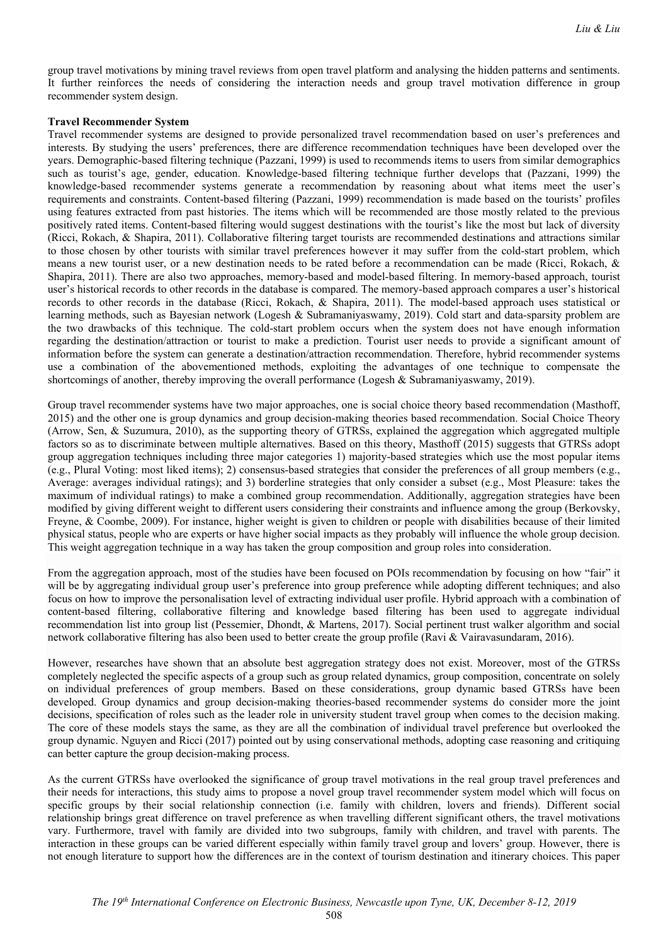group travel motivations by mining travel reviews from open travel platform and analysing the hidden patterns and sentiments. It further reinforces the needs of considering the interaction needs and group travel motivation difference in group recommender system design.

### **Travel Recommender System**

Travel recommender systems are designed to provide personalized travel recommendation based on user's preferences and interests. By studying the users' preferences, there are difference recommendation techniques have been developed over the years. Demographic-based filtering technique (Pazzani, 1999) is used to recommends items to users from similar demographics such as tourist's age, gender, education. Knowledge-based filtering technique further develops that (Pazzani, 1999) the knowledge-based recommender systems generate a recommendation by reasoning about what items meet the user's requirements and constraints. Content-based filtering (Pazzani, 1999) recommendation is made based on the tourists' profiles using features extracted from past histories. The items which will be recommended are those mostly related to the previous positively rated items. Content-based filtering would suggest destinations with the tourist's like the most but lack of diversity (Ricci, Rokach, & Shapira, 2011). Collaborative filtering target tourists are recommended destinations and attractions similar to those chosen by other tourists with similar travel preferences however it may suffer from the cold-start problem, which means a new tourist user, or a new destination needs to be rated before a recommendation can be made (Ricci, Rokach, & Shapira, 2011). There are also two approaches, memory-based and model-based filtering. In memory-based approach, tourist user's historical records to other records in the database is compared. The memory-based approach compares a user's historical records to other records in the database (Ricci, Rokach, & Shapira, 2011). The model-based approach uses statistical or learning methods, such as Bayesian network (Logesh & Subramaniyaswamy, 2019). Cold start and data-sparsity problem are the two drawbacks of this technique. The cold-start problem occurs when the system does not have enough information regarding the destination/attraction or tourist to make a prediction. Tourist user needs to provide a significant amount of information before the system can generate a destination/attraction recommendation. Therefore, hybrid recommender systems use a combination of the abovementioned methods, exploiting the advantages of one technique to compensate the shortcomings of another, thereby improving the overall performance (Logesh & Subramaniyaswamy, 2019).

Group travel recommender systems have two major approaches, one is social choice theory based recommendation (Masthoff, 2015) and the other one is group dynamics and group decision-making theories based recommendation. Social Choice Theory (Arrow, Sen, & Suzumura, 2010), as the supporting theory of GTRSs, explained the aggregation which aggregated multiple factors so as to discriminate between multiple alternatives. Based on this theory, Masthoff (2015) suggests that GTRSs adopt group aggregation techniques including three major categories 1) majority-based strategies which use the most popular items (e.g., Plural Voting: most liked items); 2) consensus-based strategies that consider the preferences of all group members (e.g., Average: averages individual ratings); and 3) borderline strategies that only consider a subset (e.g., Most Pleasure: takes the maximum of individual ratings) to make a combined group recommendation. Additionally, aggregation strategies have been modified by giving different weight to different users considering their constraints and influence among the group (Berkovsky, Freyne, & Coombe, 2009). For instance, higher weight is given to children or people with disabilities because of their limited physical status, people who are experts or have higher social impacts as they probably will influence the whole group decision. This weight aggregation technique in a way has taken the group composition and group roles into consideration.

From the aggregation approach, most of the studies have been focused on POIs recommendation by focusing on how "fair" it will be by aggregating individual group user's preference into group preference while adopting different techniques; and also focus on how to improve the personalisation level of extracting individual user profile. Hybrid approach with a combination of content-based filtering, collaborative filtering and knowledge based filtering has been used to aggregate individual recommendation list into group list (Pessemier, Dhondt, & Martens, 2017). Social pertinent trust walker algorithm and social network collaborative filtering has also been used to better create the group profile (Ravi & Vairavasundaram, 2016).

However, researches have shown that an absolute best aggregation strategy does not exist. Moreover, most of the GTRSs completely neglected the specific aspects of a group such as group related dynamics, group composition, concentrate on solely on individual preferences of group members. Based on these considerations, group dynamic based GTRSs have been developed. Group dynamics and group decision-making theories-based recommender systems do consider more the joint decisions, specification of roles such as the leader role in university student travel group when comes to the decision making. The core of these models stays the same, as they are all the combination of individual travel preference but overlooked the group dynamic. Nguyen and Ricci (2017) pointed out by using conservational methods, adopting case reasoning and critiquing can better capture the group decision-making process.

As the current GTRSs have overlooked the significance of group travel motivations in the real group travel preferences and their needs for interactions, this study aims to propose a novel group travel recommender system model which will focus on specific groups by their social relationship connection (i.e. family with children, lovers and friends). Different social relationship brings great difference on travel preference as when travelling different significant others, the travel motivations vary. Furthermore, travel with family are divided into two subgroups, family with children, and travel with parents. The interaction in these groups can be varied different especially within family travel group and lovers' group. However, there is not enough literature to support how the differences are in the context of tourism destination and itinerary choices. This paper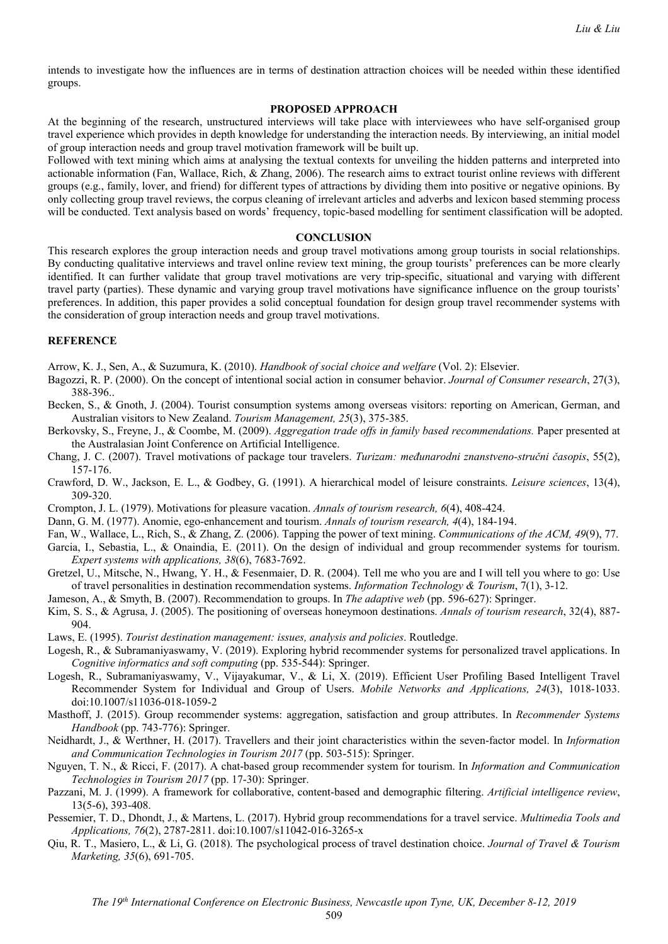intends to investigate how the influences are in terms of destination attraction choices will be needed within these identified groups.

## **PROPOSED APPROACH**

At the beginning of the research, unstructured interviews will take place with interviewees who have self-organised group travel experience which provides in depth knowledge for understanding the interaction needs. By interviewing, an initial model of group interaction needs and group travel motivation framework will be built up.

Followed with text mining which aims at analysing the textual contexts for unveiling the hidden patterns and interpreted into actionable information (Fan, Wallace, Rich, & Zhang, 2006). The research aims to extract tourist online reviews with different groups (e.g., family, lover, and friend) for different types of attractions by dividing them into positive or negative opinions. By only collecting group travel reviews, the corpus cleaning of irrelevant articles and adverbs and lexicon based stemming process will be conducted. Text analysis based on words' frequency, topic-based modelling for sentiment classification will be adopted.

## **CONCLUSION**

This research explores the group interaction needs and group travel motivations among group tourists in social relationships. By conducting qualitative interviews and travel online review text mining, the group tourists' preferences can be more clearly identified. It can further validate that group travel motivations are very trip-specific, situational and varying with different travel party (parties). These dynamic and varying group travel motivations have significance influence on the group tourists' preferences. In addition, this paper provides a solid conceptual foundation for design group travel recommender systems with the consideration of group interaction needs and group travel motivations.

## **REFERENCE**

Arrow, K. J., Sen, A., & Suzumura, K. (2010). *Handbook of social choice and welfare* (Vol. 2): Elsevier.

- Bagozzi, R. P. (2000). On the concept of intentional social action in consumer behavior. *Journal of Consumer research*, 27(3), 388-396..
- Becken, S., & Gnoth, J. (2004). Tourist consumption systems among overseas visitors: reporting on American, German, and Australian visitors to New Zealand. *Tourism Management, 25*(3), 375-385.
- Berkovsky, S., Freyne, J., & Coombe, M. (2009). *Aggregation trade offs in family based recommendations.* Paper presented at the Australasian Joint Conference on Artificial Intelligence.
- Chang, J. C. (2007). Travel motivations of package tour travelers. *Turizam: međunarodni znanstveno-stručni časopis*, 55(2), 157-176.
- Crawford, D. W., Jackson, E. L., & Godbey, G. (1991). A hierarchical model of leisure constraints. *Leisure sciences*, 13(4), 309-320.
- Crompton, J. L. (1979). Motivations for pleasure vacation. *Annals of tourism research, 6*(4), 408-424.

Dann, G. M. (1977). Anomie, ego-enhancement and tourism. *Annals of tourism research, 4*(4), 184-194.

Fan, W., Wallace, L., Rich, S., & Zhang, Z. (2006). Tapping the power of text mining. *Communications of the ACM, 49*(9), 77.

- Garcia, I., Sebastia, L., & Onaindia, E. (2011). On the design of individual and group recommender systems for tourism. *Expert systems with applications, 38*(6), 7683-7692.
- Gretzel, U., Mitsche, N., Hwang, Y. H., & Fesenmaier, D. R. (2004). Tell me who you are and I will tell you where to go: Use of travel personalities in destination recommendation systems. *Information Technology & Tourism*, 7(1), 3-12.

Jameson, A., & Smyth, B. (2007). Recommendation to groups. In *The adaptive web* (pp. 596-627): Springer.

- Kim, S. S., & Agrusa, J. (2005). The positioning of overseas honeymoon destinations. *Annals of tourism research*, 32(4), 887- 904.
- Laws, E. (1995). *Tourist destination management: issues, analysis and policies*. Routledge.
- Logesh, R., & Subramaniyaswamy, V. (2019). Exploring hybrid recommender systems for personalized travel applications. In *Cognitive informatics and soft computing* (pp. 535-544): Springer.
- Logesh, R., Subramaniyaswamy, V., Vijayakumar, V., & Li, X. (2019). Efficient User Profiling Based Intelligent Travel Recommender System for Individual and Group of Users. *Mobile Networks and Applications, 24*(3), 1018-1033. doi:10.1007/s11036-018-1059-2
- Masthoff, J. (2015). Group recommender systems: aggregation, satisfaction and group attributes. In *Recommender Systems Handbook* (pp. 743-776): Springer.
- Neidhardt, J., & Werthner, H. (2017). Travellers and their joint characteristics within the seven-factor model. In *Information and Communication Technologies in Tourism 2017* (pp. 503-515): Springer.
- Nguyen, T. N., & Ricci, F. (2017). A chat-based group recommender system for tourism. In *Information and Communication Technologies in Tourism 2017* (pp. 17-30): Springer.
- Pazzani, M. J. (1999). A framework for collaborative, content-based and demographic filtering. *Artificial intelligence review*, 13(5-6), 393-408.
- Pessemier, T. D., Dhondt, J., & Martens, L. (2017). Hybrid group recommendations for a travel service. *Multimedia Tools and Applications, 76*(2), 2787-2811. doi:10.1007/s11042-016-3265-x
- Qiu, R. T., Masiero, L., & Li, G. (2018). The psychological process of travel destination choice. *Journal of Travel & Tourism Marketing, 35*(6), 691-705.